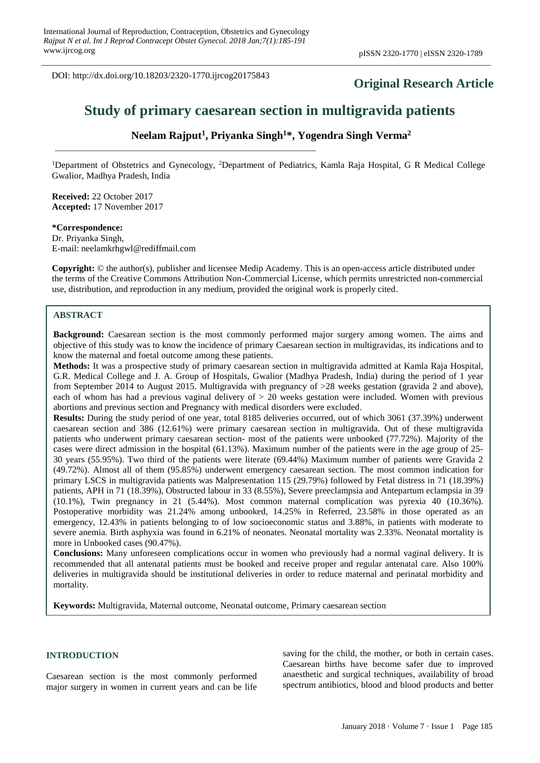DOI: http://dx.doi.org/10.18203/2320-1770.ijrcog20175843

# **Original Research Article**

# **Study of primary caesarean section in multigravida patients**

# **Neelam Rajput<sup>1</sup> , Priyanka Singh<sup>1</sup>\*, Yogendra Singh Verma<sup>2</sup>**

<sup>1</sup>Department of Obstetrics and Gynecology, <sup>2</sup>Department of Pediatrics, Kamla Raja Hospital, G R Medical College Gwalior, Madhya Pradesh, India

**Received:** 22 October 2017 **Accepted:** 17 November 2017

**\*Correspondence:** Dr. Priyanka Singh, E-mail: neelamkrhgwl@rediffmail.com

**Copyright:** © the author(s), publisher and licensee Medip Academy. This is an open-access article distributed under the terms of the Creative Commons Attribution Non-Commercial License, which permits unrestricted non-commercial use, distribution, and reproduction in any medium, provided the original work is properly cited.

## **ABSTRACT**

**Background:** Caesarean section is the most commonly performed major surgery among women. The aims and objective of this study was to know the incidence of primary Caesarean section in multigravidas, its indications and to know the maternal and foetal outcome among these patients.

**Methods:** It was a prospective study of primary caesarean section in multigravida admitted at Kamla Raja Hospital, G.R. Medical College and J. A. Group of Hospitals, Gwalior (Madhya Pradesh, India) during the period of 1 year from September 2014 to August 2015. Multigravida with pregnancy of >28 weeks gestation (gravida 2 and above), each of whom has had a previous vaginal delivery of  $> 20$  weeks gestation were included. Women with previous abortions and previous section and Pregnancy with medical disorders were excluded.

**Results:** During the study period of one year, total 8185 deliveries occurred, out of which 3061 (37.39%) underwent caesarean section and 386 (12.61%) were primary caesarean section in multigravida. Out of these multigravida patients who underwent primary caesarean section- most of the patients were unbooked (77.72%). Majority of the cases were direct admission in the hospital (61.13%). Maximum number of the patients were in the age group of 25- 30 years (55.95%). Two third of the patients were literate (69.44%) Maximum number of patients were Gravida 2 (49.72%). Almost all of them (95.85%) underwent emergency caesarean section. The most common indication for primary LSCS in multigravida patients was Malpresentation 115 (29.79%) followed by Fetal distress in 71 (18.39%) patients, APH in 71 (18.39%), Obstructed labour in 33 (8.55%), Severe preeclampsia and Antepartum eclampsia in 39 (10.1%), Twin pregnancy in 21 (5.44%). Most common maternal complication was pyrexia 40 (10.36%). Postoperative morbidity was 21.24% among unbooked, 14.25% in Referred, 23.58% in those operated as an emergency, 12.43% in patients belonging to of low socioeconomic status and 3.88%, in patients with moderate to severe anemia. Birth asphyxia was found in 6.21% of neonates. Neonatal mortality was 2.33%. Neonatal mortality is more in Unbooked cases (90.47%).

**Conclusions:** Many unforeseen complications occur in women who previously had a normal vaginal delivery. It is recommended that all antenatal patients must be booked and receive proper and regular antenatal care. Also 100% deliveries in multigravida should be institutional deliveries in order to reduce maternal and perinatal morbidity and mortality.

**Keywords:** Multigravida, Maternal outcome, Neonatal outcome, Primary caesarean section

#### **INTRODUCTION**

Caesarean section is the most commonly performed major surgery in women in current years and can be life saving for the child, the mother, or both in certain cases. Caesarean births have become safer due to improved anaesthetic and surgical techniques, availability of broad spectrum antibiotics, blood and blood products and better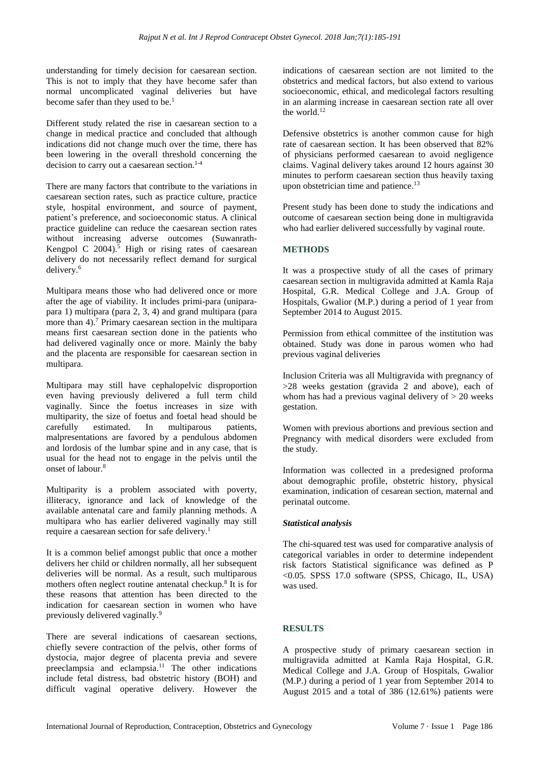understanding for timely decision for caesarean section. This is not to imply that they have become safer than normal uncomplicated vaginal deliveries but have become safer than they used to be.<sup>1</sup>

Different study related the rise in caesarean section to a change in medical practice and concluded that although indications did not change much over the time, there has been lowering in the overall threshold concerning the decision to carry out a caesarean section. $1-4$ 

There are many factors that contribute to the variations in caesarean section rates, such as practice culture, practice style, hospital environment, and source of payment, patient's preference, and socioeconomic status. A clinical practice guideline can reduce the caesarean section rates without increasing adverse outcomes (Suwanrath-Kengpol C 2004). <sup>5</sup> High or rising rates of caesarean delivery do not necessarily reflect demand for surgical delivery. 6

Multipara means those who had delivered once or more after the age of viability. It includes primi-para (uniparapara 1) multipara (para 2, 3, 4) and grand multipara (para more than 4).<sup>7</sup> Primary caesarean section in the multipara means first caesarean section done in the patients who had delivered vaginally once or more. Mainly the baby and the placenta are responsible for caesarean section in multipara.

Multipara may still have cephalopelvic disproportion even having previously delivered a full term child vaginally. Since the foetus increases in size with multiparity, the size of foetus and foetal head should be carefully estimated. In multiparous patients, malpresentations are favored by a pendulous abdomen and lordosis of the lumbar spine and in any case, that is usual for the head not to engage in the pelvis until the onset of labour.<sup>8</sup>

Multiparity is a problem associated with poverty, illiteracy, ignorance and lack of knowledge of the available antenatal care and family planning methods. A multipara who has earlier delivered vaginally may still require a caesarean section for safe delivery.<sup>1</sup>

It is a common belief amongst public that once a mother delivers her child or children normally, all her subsequent deliveries will be normal. As a result, such multiparous mothers often neglect routine antenatal checkup.<sup>8</sup> It is for these reasons that attention has been directed to the indication for caesarean section in women who have previously delivered vaginally.<sup>9</sup>

There are several indications of caesarean sections, chiefly severe contraction of the pelvis, other forms of dystocia, major degree of placenta previa and severe preeclampsia and eclampsia.<sup>11</sup> The other indications include fetal distress, bad obstetric history (BOH) and difficult vaginal operative delivery. However the indications of caesarean section are not limited to the obstetrics and medical factors, but also extend to various socioeconomic, ethical, and medicolegal factors resulting in an alarming increase in caesarean section rate all over the world.<sup>12</sup>

Defensive obstetrics is another common cause for high rate of caesarean section. It has been observed that 82% of physicians performed caesarean to avoid negligence claims. Vaginal delivery takes around 12 hours against 30 minutes to perform caesarean section thus heavily taxing upon obstetrician time and patience.<sup>13</sup>

Present study has been done to study the indications and outcome of caesarean section being done in multigravida who had earlier delivered successfully by vaginal route.

# **METHODS**

It was a prospective study of all the cases of primary caesarean section in multigravida admitted at Kamla Raja Hospital, G.R. Medical College and J.A. Group of Hospitals, Gwalior (M.P.) during a period of 1 year from September 2014 to August 2015.

Permission from ethical committee of the institution was obtained. Study was done in parous women who had previous vaginal deliveries

Inclusion Criteria was all Multigravida with pregnancy of >28 weeks gestation (gravida 2 and above), each of whom has had a previous vaginal delivery of  $> 20$  weeks gestation.

Women with previous abortions and previous section and Pregnancy with medical disorders were excluded from the study.

Information was collected in a predesigned proforma about demographic profile, obstetric history, physical examination, indication of cesarean section, maternal and perinatal outcome.

## *Statistical analysis*

The chi-squared test was used for comparative analysis of categorical variables in order to determine independent risk factors Statistical significance was defined as P <0.05. SPSS 17.0 software (SPSS, Chicago, IL, USA) was used.

## **RESULTS**

A prospective study of primary caesarean section in multigravida admitted at Kamla Raja Hospital, G.R. Medical College and J.A. Group of Hospitals, Gwalior (M.P.) during a period of 1 year from September 2014 to August 2015 and a total of 386 (12.61%) patients were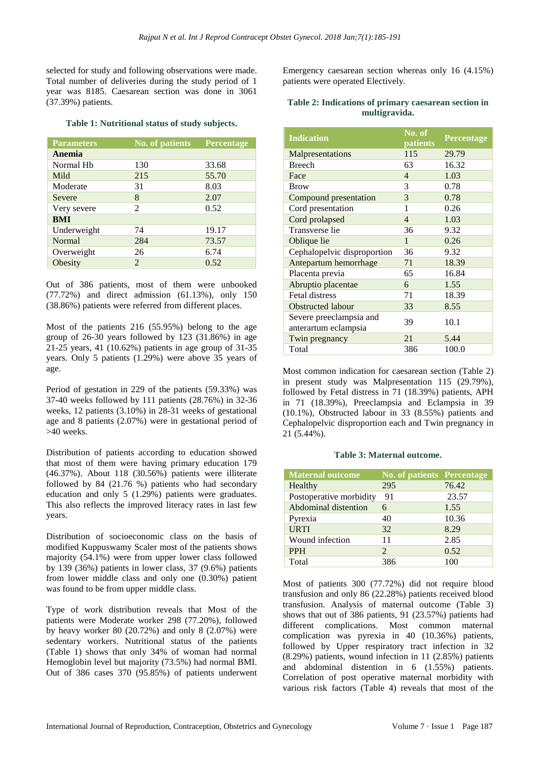selected for study and following observations were made. Total number of deliveries during the study period of 1 year was 8185. Caesarean section was done in 3061 (37.39%) patients.

## **Table 1: Nutritional status of study subjects.**

| <b>Parameters</b> | <b>No. of patients</b> | <b>Percentage</b> |
|-------------------|------------------------|-------------------|
| Anemia            |                        |                   |
| Normal Hb         | 130                    | 33.68             |
| Mild              | 215                    | 55.70             |
| Moderate          | 31                     | 8.03              |
| Severe            | 8                      | 2.07              |
| Very severe       | $\mathfrak{D}$         | 0.52              |
| <b>BMI</b>        |                        |                   |
| Underweight       | 74                     | 19.17             |
| <b>Normal</b>     | 284                    | 73.57             |
| Overweight        | 26                     | 6.74              |
| Obesity           | 2                      | 0.52              |

Out of 386 patients, most of them were unbooked (77.72%) and direct admission (61.13%), only 150 (38.86%) patients were referred from different places.

Most of the patients 216 (55.95%) belong to the age group of 26-30 years followed by 123 (31.86%) in age 21-25 years, 41 (10.62%) patients in age group of 31-35 years. Only 5 patients (1.29%) were above 35 years of age.

Period of gestation in 229 of the patients (59.33%) was 37-40 weeks followed by 111 patients (28.76%) in 32-36 weeks, 12 patients (3.10%) in 28-31 weeks of gestational age and 8 patients (2.07%) were in gestational period of  $>40$  weeks.

Distribution of patients according to education showed that most of them were having primary education 179 (46.37%). About 118 (30.56%) patients were illiterate followed by 84 (21.76 %) patients who had secondary education and only 5 (1.29%) patients were graduates. This also reflects the improved literacy rates in last few years.

Distribution of socioeconomic class on the basis of modified Kuppuswamy Scaler most of the patients shows majority (54.1%) were from upper lower class followed by 139 (36%) patients in lower class, 37 (9.6%) patients from lower middle class and only one (0.30%) patient was found to be from upper middle class.

Type of work distribution reveals that Most of the patients were Moderate worker 298 (77.20%), followed by heavy worker 80  $(20.72%)$  and only 8  $(2.07%)$  were sedentary workers. Nutritional status of the patients (Table 1) shows that only 34% of woman had normal Hemoglobin level but majority (73.5%) had normal BMI. Out of 386 cases 370 (95.85%) of patients underwent Emergency caesarean section whereas only 16 (4.15%) patients were operated Electively.

## **Table 2: Indications of primary caesarean section in multigravida.**

| <b>Indication</b>                               | No. of<br>patients | Percentage |
|-------------------------------------------------|--------------------|------------|
| Malpresentations                                | 115                | 29.79      |
| <b>Breech</b>                                   | 63                 | 16.32      |
| Face                                            | $\overline{4}$     | 1.03       |
| <b>Brow</b>                                     | 3                  | 0.78       |
| Compound presentation                           | 3                  | 0.78       |
| Cord presentation                               | 1                  | 0.26       |
| Cord prolapsed                                  | $\overline{4}$     | 1.03       |
| Transverse lie                                  | 36                 | 9.32       |
| Oblique lie                                     | 1                  | 0.26       |
| Cephalopelvic disproportion                     | 36                 | 9.32       |
| Antepartum hemorrhage                           | 71                 | 18.39      |
| Placenta previa                                 | 65                 | 16.84      |
| Abruptio placentae                              | 6                  | 1.55       |
| <b>Fetal distress</b>                           | 71                 | 18.39      |
| <b>Obstructed labour</b>                        | 33                 | 8.55       |
| Severe preeclampsia and<br>anterartum eclampsia | 39                 | 10.1       |
| Twin pregnancy                                  | 21                 | 5.44       |
| Total                                           | 386                | 100.0      |

Most common indication for caesarean section (Table 2) in present study was Malpresentation 115 (29.79%), followed by Fetal distress in 71 (18.39%) patients, APH in 71 (18.39%), Preeclampsia and Eclampsia in 39 (10.1%), Obstructed labour in 33 (8.55%) patients and Cephalopelvic disproportion each and Twin pregnancy in 21 (5.44%).

#### **Table 3: Maternal outcome.**

| <b>Maternal outcome</b> | <b>No. of patients Percentage</b> |       |
|-------------------------|-----------------------------------|-------|
| Healthy                 | 295                               | 76.42 |
| Postoperative morbidity | 91                                | 23.57 |
| Abdominal distention    | 6                                 | 1.55  |
| Pyrexia                 | 40                                | 10.36 |
| <b>URTI</b>             | 32                                | 8.29  |
| Wound infection         | 11                                | 2.85  |
| <b>PPH</b>              | $\mathcal{D}_{\mathcal{L}}$       | 0.52  |
| Total                   | 386                               | 100   |

Most of patients 300 (77.72%) did not require blood transfusion and only 86 (22.28%) patients received blood transfusion. Analysis of maternal outcome (Table 3) shows that out of 386 patients, 91 (23.57%) patients had different complications. Most common maternal complication was pyrexia in 40 (10.36%) patients, followed by Upper respiratory tract infection in 32 (8.29%) patients, wound infection in 11 (2.85%) patients and abdominal distention in 6 (1.55%) patients. Correlation of post operative maternal morbidity with various risk factors (Table 4) reveals that most of the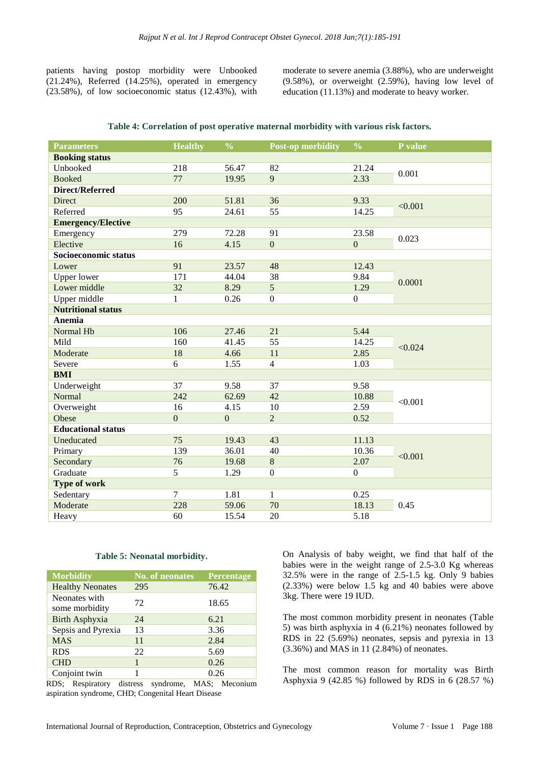patients having postop morbidity were Unbooked (21.24%), Referred (14.25%), operated in emergency (23.58%), of low socioeconomic status (12.43%), with moderate to severe anemia (3.88%), who are underweight (9.58%), or overweight (2.59%), having low level of education (11.13%) and moderate to heavy worker.

|  |  |  |  |  | Table 4: Correlation of post operative maternal morbidity with various risk factors. |
|--|--|--|--|--|--------------------------------------------------------------------------------------|
|--|--|--|--|--|--------------------------------------------------------------------------------------|

| <b>Parameters</b>         | <b>Healthy</b> | $\frac{0}{0}$  | <b>Post-op morbidity</b> | $\frac{0}{0}$  | P value |  |
|---------------------------|----------------|----------------|--------------------------|----------------|---------|--|
| <b>Booking status</b>     |                |                |                          |                |         |  |
| Unbooked                  | 218            | 56.47          | 82                       | 21.24          | 0.001   |  |
| <b>Booked</b>             | 77             | 19.95          | 9                        | 2.33           |         |  |
| Direct/Referred           |                |                |                          |                |         |  |
| Direct                    | 200            | 51.81          | 36                       | 9.33           | < 0.001 |  |
| Referred                  | 95             | 24.61          | 55                       | 14.25          |         |  |
| <b>Emergency/Elective</b> |                |                |                          |                |         |  |
| Emergency                 | 279            | 72.28          | 91                       | 23.58          | 0.023   |  |
| Elective                  | 16             | 4.15           | $\mathbf{0}$             | $\overline{0}$ |         |  |
| Socioeconomic status      |                |                |                          |                |         |  |
| Lower                     | 91             | 23.57          | 48                       | 12.43          |         |  |
| <b>Upper lower</b>        | 171            | 44.04          | 38                       | 9.84           | 0.0001  |  |
| Lower middle              | 32             | 8.29           | 5                        | 1.29           |         |  |
| Upper middle              | $\mathbf{1}$   | 0.26           | $\mathbf{0}$             | $\overline{0}$ |         |  |
| <b>Nutritional status</b> |                |                |                          |                |         |  |
| Anemia                    |                |                |                          |                |         |  |
| Normal Hb                 | 106            | 27.46          | 21                       | 5.44           |         |  |
| Mild                      | 160            | 41.45          | 55                       | 14.25          | < 0.024 |  |
| Moderate                  | 18             | 4.66           | 11                       | 2.85           |         |  |
| Severe                    | 6              | 1.55           | $\overline{4}$           | 1.03           |         |  |
| <b>BMI</b>                |                |                |                          |                |         |  |
| Underweight               | 37             | 9.58           | 37                       | 9.58           |         |  |
| Normal                    | 242            | 62.69          | 42                       | 10.88          | < 0.001 |  |
| Overweight                | 16             | 4.15           | 10                       | 2.59           |         |  |
| Obese                     | $\overline{0}$ | $\overline{0}$ | $\overline{2}$           | 0.52           |         |  |
| <b>Educational status</b> |                |                |                          |                |         |  |
| Uneducated                | 75             | 19.43          | 43                       | 11.13          |         |  |
| Primary                   | 139            | 36.01          | 40                       | 10.36          | < 0.001 |  |
| Secondary                 | 76             | 19.68          | $8\,$                    | 2.07           |         |  |
| Graduate                  | 5              | 1.29           | $\mathbf{0}$             | $\overline{0}$ |         |  |
| Type of work              |                |                |                          |                |         |  |
| Sedentary                 | $\overline{7}$ | 1.81           | 1                        | 0.25           |         |  |
| Moderate                  | 228            | 59.06          | 70                       | 18.13          | 0.45    |  |
| Heavy                     | 60             | 15.54          | 20                       | 5.18           |         |  |

#### **Table 5: Neonatal morbidity.**

| <b>Morbidity</b>                | <b>No. of neonates</b> | Percentage |
|---------------------------------|------------------------|------------|
| <b>Healthy Neonates</b>         | 295                    | 76.42      |
| Neonates with<br>some morbidity | 72                     | 18.65      |
| <b>Birth Asphyxia</b>           | 24                     | 6.21       |
| Sepsis and Pyrexia              | 13                     | 3.36       |
| <b>MAS</b>                      | 11                     | 2.84       |
| <b>RDS</b>                      | 22                     | 5.69       |
| <b>CHD</b>                      |                        | 0.26       |
| Conjoint twin                   |                        | 0.26       |

RDS; Respiratory distress syndrome, MAS; Meconium aspiration syndrome, CHD; Congenital Heart Disease

On Analysis of baby weight, we find that half of the babies were in the weight range of 2.5-3.0 Kg whereas 32.5% were in the range of 2.5-1.5 kg. Only 9 babies (2.33%) were below 1.5 kg and 40 babies were above 3kg. There were 19 IUD.

The most common morbidity present in neonates (Table 5) was birth asphyxia in 4 (6.21%) neonates followed by RDS in 22 (5.69%) neonates, sepsis and pyrexia in 13 (3.36%) and MAS in 11 (2.84%) of neonates.

The most common reason for mortality was Birth Asphyxia 9 (42.85 %) followed by RDS in 6 (28.57 %)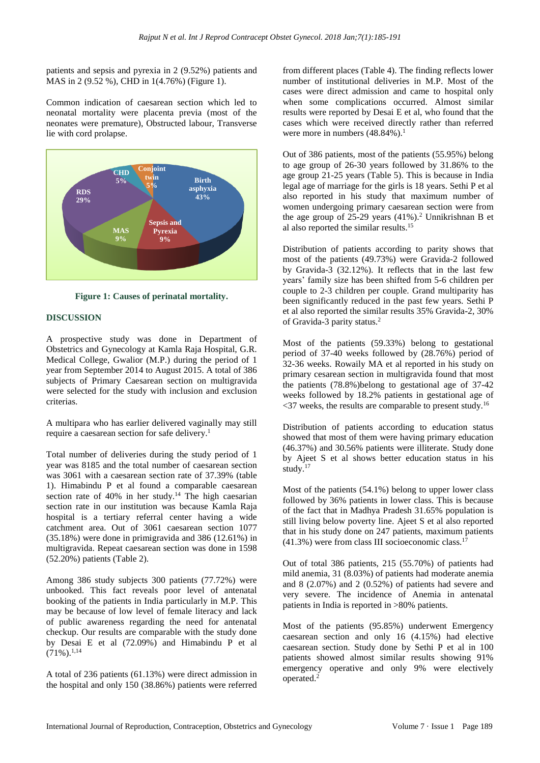patients and sepsis and pyrexia in 2 (9.52%) patients and MAS in 2 (9.52 %), CHD in 1(4.76%) (Figure 1).

Common indication of caesarean section which led to neonatal mortality were placenta previa (most of the neonates were premature), Obstructed labour, Transverse lie with cord prolapse.



**Figure 1: Causes of perinatal mortality.**

## **DISCUSSION**

A prospective study was done in Department of Obstetrics and Gynecology at Kamla Raja Hospital, G.R. Medical College, Gwalior (M.P.) during the period of 1 year from September 2014 to August 2015. A total of 386 subjects of Primary Caesarean section on multigravida were selected for the study with inclusion and exclusion criterias.

A multipara who has earlier delivered vaginally may still require a caesarean section for safe delivery. 1

Total number of deliveries during the study period of 1 year was 8185 and the total number of caesarean section was 3061 with a caesarean section rate of 37.39% (table 1). Himabindu P et al found a comparable caesarean section rate of 40% in her study.<sup>14</sup> The high caesarian section rate in our institution was because Kamla Raja hospital is a tertiary referral center having a wide catchment area. Out of 3061 caesarean section 1077 (35.18%) were done in primigravida and 386 (12.61%) in multigravida. Repeat caesarean section was done in 1598 (52.20%) patients (Table 2).

Among 386 study subjects 300 patients (77.72%) were unbooked. This fact reveals poor level of antenatal booking of the patients in India particularly in M.P. This may be because of low level of female literacy and lack of public awareness regarding the need for antenatal checkup. Our results are comparable with the study done by Desai E et al (72.09%) and Himabindu P et al  $(71\%)$ <sup>1,14</sup>

A total of 236 patients (61.13%) were direct admission in the hospital and only 150 (38.86%) patients were referred from different places (Table 4). The finding reflects lower number of institutional deliveries in M.P. Most of the cases were direct admission and came to hospital only when some complications occurred. Almost similar results were reported by Desai E et al, who found that the cases which were received directly rather than referred were more in numbers (48.84%).<sup>1</sup>

Out of 386 patients, most of the patients (55.95%) belong to age group of 26-30 years followed by 31.86% to the age group 21-25 years (Table 5). This is because in India legal age of marriage for the girls is 18 years. Sethi P et al also reported in his study that maximum number of women undergoing primary caesarean section were from the age group of 25-29 years  $(41\%)$ .<sup>2</sup> Unnikrishnan B et al also reported the similar results.<sup>15</sup>

Distribution of patients according to parity shows that most of the patients (49.73%) were Gravida-2 followed by Gravida-3 (32.12%). It reflects that in the last few years' family size has been shifted from 5-6 children per couple to 2-3 children per couple. Grand multiparity has been significantly reduced in the past few years. Sethi P et al also reported the similar results 35% Gravida-2, 30% of Gravida-3 parity status. 2

Most of the patients (59.33%) belong to gestational period of 37-40 weeks followed by (28.76%) period of 32-36 weeks. Rowaily MA et al reported in his study on primary cesarean section in multigravida found that most the patients (78.8%)belong to gestational age of 37-42 weeks followed by 18.2% patients in gestational age of  $\langle 37 \rangle$  weeks, the results are comparable to present study.<sup>16</sup>

Distribution of patients according to education status showed that most of them were having primary education (46.37%) and 30.56% patients were illiterate. Study done by Ajeet S et al shows better education status in his study.<sup>17</sup>

Most of the patients (54.1%) belong to upper lower class followed by 36% patients in lower class. This is because of the fact that in Madhya Pradesh 31.65% population is still living below poverty line. Ajeet S et al also reported that in his study done on 247 patients, maximum patients  $(41.3\%)$  were from class III socioeconomic class.<sup>17</sup>

Out of total 386 patients, 215 (55.70%) of patients had mild anemia, 31 (8.03%) of patients had moderate anemia and 8 (2.07%) and 2 (0.52%) of patients had severe and very severe. The incidence of Anemia in antenatal patients in India is reported in >80% patients.

Most of the patients (95.85%) underwent Emergency caesarean section and only 16 (4.15%) had elective caesarean section. Study done by Sethi P et al in 100 patients showed almost similar results showing 91% emergency operative and only 9% were electively operated.<sup>2</sup>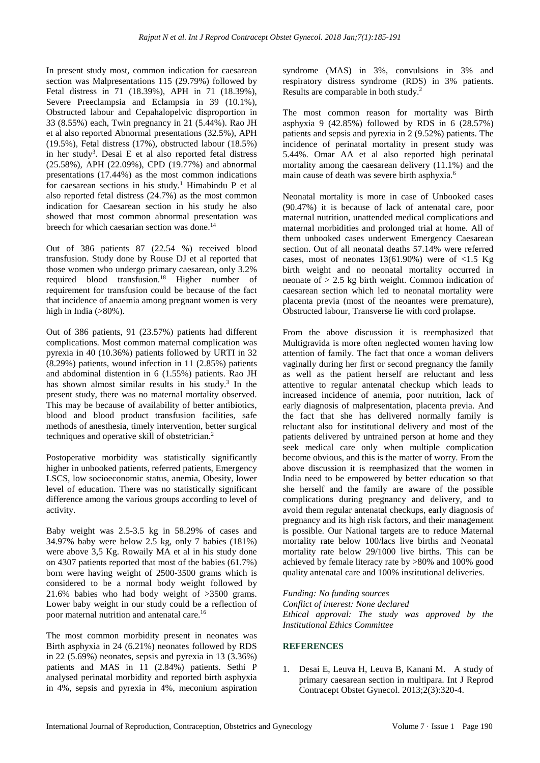In present study most, common indication for caesarean section was Malpresentations 115 (29.79%) followed by Fetal distress in 71 (18.39%), APH in 71 (18.39%), Severe Preeclampsia and Eclampsia in 39 (10.1%), Obstructed labour and Cepahalopelvic disproportion in 33 (8.55%) each, Twin pregnancy in 21 (5.44%). Rao JH et al also reported Abnormal presentations (32.5%), APH (19.5%), Fetal distress (17%), obstructed labour (18.5%) in her study<sup>3</sup>. Desai E et al also reported fetal distress (25.58%), APH (22.09%), CPD (19.77%) and abnormal presentations (17.44%) as the most common indications for caesarean sections in his study.<sup>1</sup> Himabindu P et al also reported fetal distress (24.7%) as the most common indication for Caesarean section in his study he also showed that most common abnormal presentation was breech for which caesarian section was done.<sup>14</sup>

Out of 386 patients 87 (22.54 %) received blood transfusion. Study done by Rouse DJ et al reported that those women who undergo primary caesarean, only 3.2% required blood transfusion.<sup>18</sup> Higher number of requirement for transfusion could be because of the fact that incidence of anaemia among pregnant women is very high in India  $(>80\%)$ .

Out of 386 patients, 91 (23.57%) patients had different complications. Most common maternal complication was pyrexia in 40 (10.36%) patients followed by URTI in 32 (8.29%) patients, wound infection in 11 (2.85%) patients and abdominal distention in 6 (1.55%) patients. Rao JH has shown almost similar results in his study.<sup>3</sup> In the present study, there was no maternal mortality observed. This may be because of availability of better antibiotics, blood and blood product transfusion facilities, safe methods of anesthesia, timely intervention, better surgical techniques and operative skill of obstetrician.<sup>2</sup>

Postoperative morbidity was statistically significantly higher in unbooked patients, referred patients, Emergency LSCS, low socioeconomic status, anemia, Obesity, lower level of education. There was no statistically significant difference among the various groups according to level of activity.

Baby weight was 2.5-3.5 kg in 58.29% of cases and 34.97% baby were below 2.5 kg, only 7 babies (181%) were above 3,5 Kg. Rowaily MA et al in his study done on 4307 patients reported that most of the babies (61.7%) born were having weight of 2500-3500 grams which is considered to be a normal body weight followed by 21.6% babies who had body weight of >3500 grams. Lower baby weight in our study could be a reflection of poor maternal nutrition and antenatal care.<sup>16</sup>

The most common morbidity present in neonates was Birth asphyxia in 24 (6.21%) neonates followed by RDS in 22 (5.69%) neonates, sepsis and pyrexia in 13 (3.36%) patients and MAS in 11 (2.84%) patients. Sethi P analysed perinatal morbidity and reported birth asphyxia in 4%, sepsis and pyrexia in 4%, meconium aspiration syndrome (MAS) in 3%, convulsions in 3% and respiratory distress syndrome (RDS) in 3% patients. Results are comparable in both study.<sup>2</sup>

The most common reason for mortality was Birth asphyxia 9 (42.85%) followed by RDS in 6 (28.57%) patients and sepsis and pyrexia in 2 (9.52%) patients. The incidence of perinatal mortality in present study was 5.44%. Omar AA et al also reported high perinatal mortality among the caesarean delivery (11.1%) and the main cause of death was severe birth asphyxia.<sup>6</sup>

Neonatal mortality is more in case of Unbooked cases (90.47%) it is because of lack of antenatal care, poor maternal nutrition, unattended medical complications and maternal morbidities and prolonged trial at home. All of them unbooked cases underwent Emergency Caesarean section. Out of all neonatal deaths 57.14% were referred cases, most of neonates  $13(61.90%)$  were of  $\lt 1.5$  Kg birth weight and no neonatal mortality occurred in neonate of > 2.5 kg birth weight. Common indication of caesarean section which led to neonatal mortality were placenta previa (most of the neoantes were premature), Obstructed labour, Transverse lie with cord prolapse.

From the above discussion it is reemphasized that Multigravida is more often neglected women having low attention of family. The fact that once a woman delivers vaginally during her first or second pregnancy the family as well as the patient herself are reluctant and less attentive to regular antenatal checkup which leads to increased incidence of anemia, poor nutrition, lack of early diagnosis of malpresentation, placenta previa. And the fact that she has delivered normally family is reluctant also for institutional delivery and most of the patients delivered by untrained person at home and they seek medical care only when multiple complication become obvious, and this is the matter of worry. From the above discussion it is reemphasized that the women in India need to be empowered by better education so that she herself and the family are aware of the possible complications during pregnancy and delivery, and to avoid them regular antenatal checkups, early diagnosis of pregnancy and its high risk factors, and their management is possible. Our National targets are to reduce Maternal mortality rate below 100/lacs live births and Neonatal mortality rate below 29/1000 live births. This can be achieved by female literacy rate by >80% and 100% good quality antenatal care and 100% institutional deliveries.

*Funding: No funding sources Conflict of interest: None declared Ethical approval: The study was approved by the Institutional Ethics Committee*

## **REFERENCES**

1. Desai E, Leuva H, Leuva B, Kanani M. A study of primary caesarean section in multipara. Int J Reprod Contracept Obstet Gynecol. 2013;2(3):320-4.